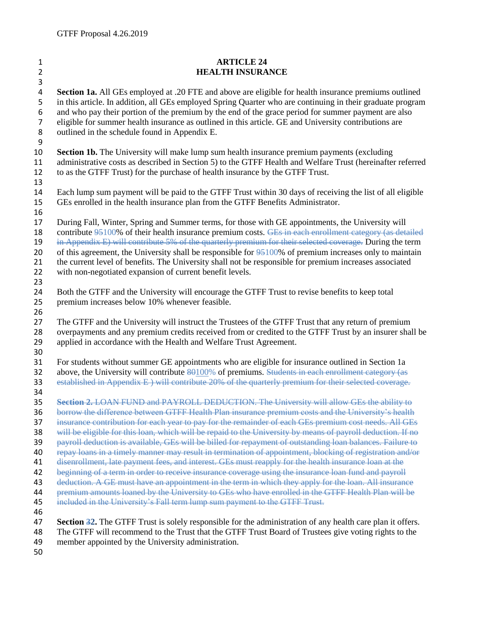## **ARTICLE 24 HEALTH INSURANCE Section 1a.** All GEs employed at .20 FTE and above are eligible for health insurance premiums outlined in this article. In addition, all GEs employed Spring Quarter who are continuing in their graduate program and who pay their portion of the premium by the end of the grace period for summer payment are also eligible for summer health insurance as outlined in this article. GE and University contributions are outlined in the schedule found in Appendix E. 9<br>10 **Section 1b.** The University will make lump sum health insurance premium payments (excluding administrative costs as described in Section 5) to the GTFF Health and Welfare Trust (hereinafter referred to as the GTFF Trust) for the purchase of health insurance by the GTFF Trust. Each lump sum payment will be paid to the GTFF Trust within 30 days of receiving the list of all eligible GEs enrolled in the health insurance plan from the GTFF Benefits Administrator. During Fall, Winter, Spring and Summer terms, for those with GE appointments, the University will 18 contribute 95100% of their health insurance premium costs. GEs in each enrollment category (as detailed in Appendix E) will contribute 5% of the quarterly premium for their selected coverage. During the term 20 of this agreement, the University shall be responsible for  $95100\%$  of premium increases only to maintain the current level of benefits. The University shall not be responsible for premium increases associated with non-negotiated expansion of current benefit levels. Both the GTFF and the University will encourage the GTFF Trust to revise benefits to keep total premium increases below 10% whenever feasible. The GTFF and the University will instruct the Trustees of the GTFF Trust that any return of premium overpayments and any premium credits received from or credited to the GTFF Trust by an insurer shall be applied in accordance with the Health and Welfare Trust Agreement. For students without summer GE appointments who are eligible for insurance outlined in Section 1a 32 above, the University will contribute 80100% of premiums. Students in each enrollment category (as established in Appendix E ) will contribute 20% of the quarterly premium for their selected coverage. **Section 2.** LOAN FUND and PAYROLL DEDUCTION. The University will allow GEs the ability to borrow the difference between GTFF Health Plan insurance premium costs and the University's health insurance contribution for each year to pay for the remainder of each GEs premium cost needs. All GEs will be eligible for this loan, which will be repaid to the University by means of payroll deduction. If no 39 payroll deduction is available, GEs will be billed for repayment of outstanding loan balances. Failure to<br>40 repay loans in a timely manner may result in termination of appointment, blocking of registration and/or repay loans in a timely manner may result in termination of appointment, blocking of registration and/or disenrollment, late payment fees, and interest. GEs must reapply for the health insurance loan at the beginning of a term in order to receive insurance coverage using the insurance loan fund and payroll deduction. A GE must have an appointment in the term in which they apply for the loan. All insurance premium amounts loaned by the University to GEs who have enrolled in the GTFF Health Plan will be 45 included in the University's Fall term lump sum payment to the GTFF Trust. **Section 32.** The GTFF Trust is solely responsible for the administration of any health care plan it offers. The GTFF will recommend to the Trust that the GTFF Trust Board of Trustees give voting rights to the member appointed by the University administration.